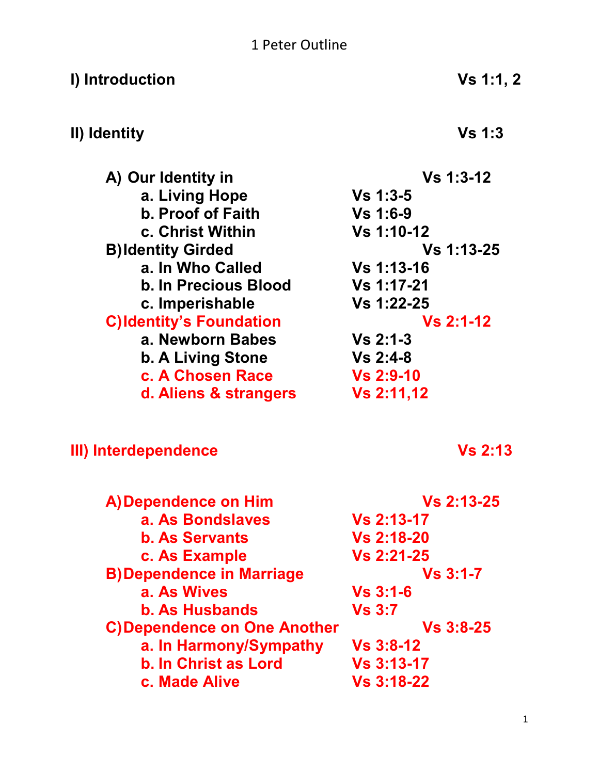# 1 Peter Outline

| I) Introduction                    | Vs 1:1, 2         |
|------------------------------------|-------------------|
| II) Identity                       | Vs <sub>1:3</sub> |
| A) Our Identity in                 | $Vs 1:3-12$       |
| a. Living Hope                     | $Vs 1:3-5$        |
| <b>b. Proof of Faith</b>           | <b>Vs 1:6-9</b>   |
| c. Christ Within                   | Vs 1:10-12        |
| <b>B)Identity Girded</b>           | Vs 1:13-25        |
| a. In Who Called                   | <b>Vs 1:13-16</b> |
| <b>b. In Precious Blood</b>        | <b>Vs 1:17-21</b> |
| c. Imperishable                    | Vs 1:22-25        |
| <b>C)Identity's Foundation</b>     | $Vs 2:1-12$       |
| a. Newborn Babes                   | $Vs 2:1-3$        |
| b. A Living Stone                  | $Vs 2:4-8$        |
| c. A Chosen Race                   | <b>Vs 2:9-10</b>  |
| d. Aliens & strangers              | Vs 2:11,12        |
| III) Interdependence               | <b>Vs 2:13</b>    |
| A) Dependence on Him               | <b>Vs 2:13-25</b> |
| a. As Bondslaves                   | <b>Vs 2:13-17</b> |
| <b>b. As Servants</b>              | <b>Vs 2:18-20</b> |
| c. As Example                      | <b>Vs 2:21-25</b> |
| <b>B)Dependence in Marriage</b>    | $Vs 3:1-7$        |
| a. As Wives                        | $Vs 3:1-6$        |
| <b>b. As Husbands</b>              | <b>Vs 3:7</b>     |
| <b>C)Dependence on One Another</b> | $Vs 3:8-25$       |
| a. In Harmony/Sympathy             | <b>Vs 3:8-12</b>  |
| <b>b. In Christ as Lord</b>        | <b>Vs 3:13-17</b> |
| c. Made Alive                      | <b>Vs 3:18-22</b> |
|                                    |                   |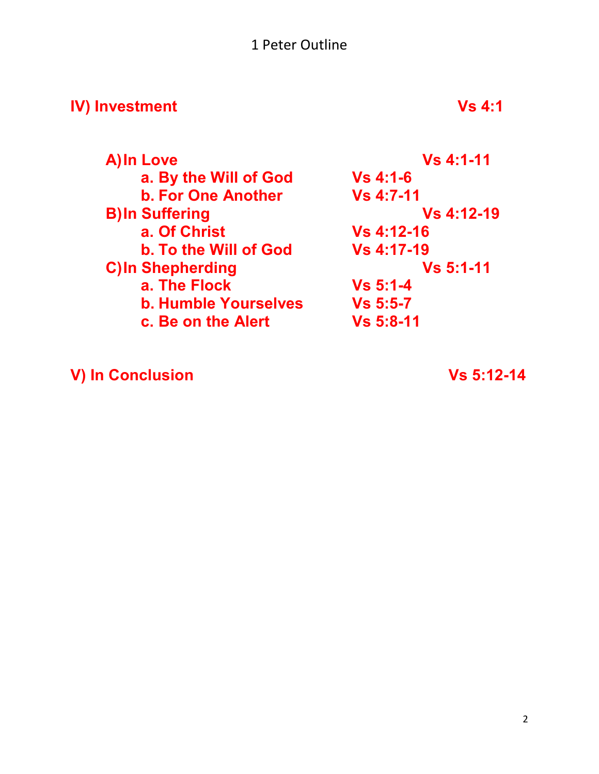### 1 Peter Outline

# **IV)** Investment Vs 4:1

| A) In Love                  | <b>Vs 4:1-11</b>  |  |
|-----------------------------|-------------------|--|
| a. By the Will of God       | $Vs 4:1-6$        |  |
| <b>b. For One Another</b>   | <b>Vs 4:7-11</b>  |  |
| <b>B)In Suffering</b>       | <b>Vs 4:12-19</b> |  |
| a. Of Christ                | <b>Vs 4:12-16</b> |  |
| b. To the Will of God       | <b>Vs 4:17-19</b> |  |
| <b>C)In Shepherding</b>     | <b>Vs 5:1-11</b>  |  |
| a. The Flock                | $Vs 5:1-4$        |  |
| <b>b. Humble Yourselves</b> | $Vs 5:5-7$        |  |
| c. Be on the Alert          | <b>Vs 5:8-11</b>  |  |

**V) In Conclusion Vs 5:12-14**